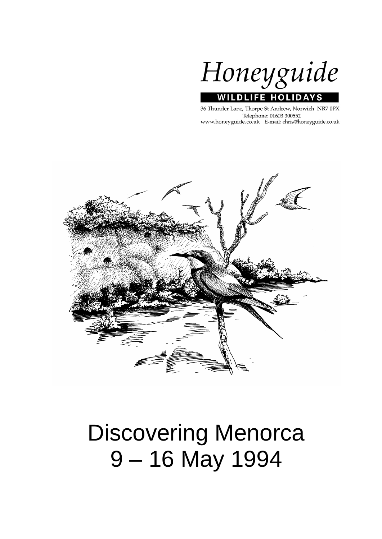

36 Thunder Lane, Thorpe St Andrew, Norwich NR7 0PX Telephone: 01603 300552 www.honeyguide.co.uk E-mail: chris@honeyguide.co.uk



# Discovering Menorca 9 – 16 May 1994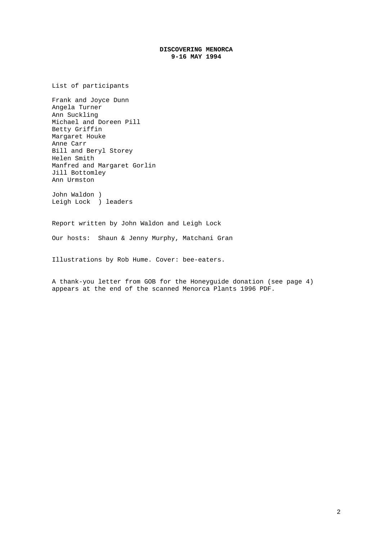## **DISCOVERING MENORCA 9-16 MAY 1994**

List of participants

Frank and Joyce Dunn Angela Turner Ann Suckling Michael and Doreen Pill Betty Griffin Margaret Houke Anne Carr Bill and Beryl Storey Helen Smith Manfred and Margaret Gorlin Jill Bottomley Ann Urmston

John Waldon ) Leigh Lock ) leaders

Report written by John Waldon and Leigh Lock

Our hosts: Shaun & Jenny Murphy, Matchani Gran

Illustrations by Rob Hume. Cover: bee-eaters.

A thank-you letter from GOB for the Honeyguide donation (see page 4) appears at the end of the scanned Menorca Plants 1996 PDF.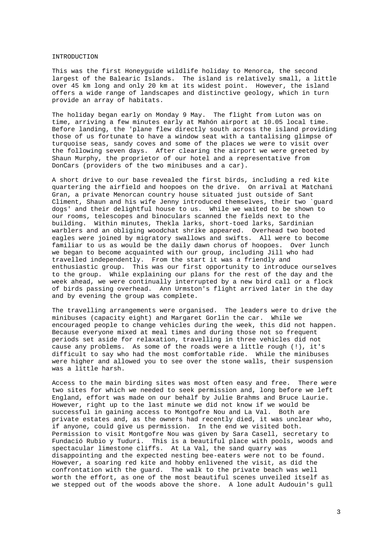#### INTRODUCTION

This was the first Honeyguide wildlife holiday to Menorca, the second largest of the Balearic Islands. The island is relatively small, a little over 45 km long and only 20 km at its widest point. However, the island offers a wide range of landscapes and distinctive geology, which in turn provide an array of habitats.

The holiday began early on Monday 9 May. The flight from Luton was on time, arriving a few minutes early at Mahón airport at 10.05 local time. Before landing, the 'plane flew directly south across the island providing those of us fortunate to have a window seat with a tantalising glimpse of turquoise seas, sandy coves and some of the places we were to visit over the following seven days. After clearing the airport we were greeted by Shaun Murphy, the proprietor of our hotel and a representative from DonCars (providers of the two minibuses and a car).

A short drive to our base revealed the first birds, including a red kite quartering the airfield and hoopoes on the drive. On arrival at Matchani Gran, a private Menorcan country house situated just outside of Sant Climent, Shaun and his wife Jenny introduced themselves, their two `guard dogs' and their delightful house to us. While we waited to be shown to our rooms, telescopes and binoculars scanned the fields next to the building. Within minutes, Thekla larks, short-toed larks, Sardinian warblers and an obliging woodchat shrike appeared. Overhead two booted eagles were joined by migratory swallows and swifts. All were to become familiar to us as would be the daily dawn chorus of hoopoes. Over lunch we began to become acquainted with our group, including Jill who had travelled independently. From the start it was a friendly and enthusiastic group. This was our first opportunity to introduce ourselves to the group. While explaining our plans for the rest of the day and the week ahead, we were continually interrupted by a new bird call or a flock of birds passing overhead. Ann Urmston's flight arrived later in the day and by evening the group was complete.

The travelling arrangements were organised. The leaders were to drive the minibuses (capacity eight) and Margaret Gorlin the car. While we encouraged people to change vehicles during the week, this did not happen. Because everyone mixed at meal times and during those not so frequent periods set aside for relaxation, travelling in three vehicles did not cause any problems. As some of the roads were a little rough (!), it's difficult to say who had the most comfortable ride. While the minibuses were higher and allowed you to see over the stone walls, their suspension was a little harsh.

Access to the main birding sites was most often easy and free. There were two sites for which we needed to seek permission and, long before we left England, effort was made on our behalf by Julie Brahms and Bruce Laurie. However, right up to the last minute we did not know if we would be successful in gaining access to Montgofre Nou and La Val. Both are private estates and, as the owners had recently died, it was unclear who, if anyone, could give us permission. In the end we visited both. Permission to visit Montgofre Nou was given by Sara Casell, secretary to Fundació Rubio y Tuduri. This is a beautiful place with pools, woods and spectacular limestone cliffs. At La Val, the sand quarry was disappointing and the expected nesting bee-eaters were not to be found. However, a soaring red kite and hobby enlivened the visit, as did the confrontation with the guard. The walk to the private beach was well worth the effort, as one of the most beautiful scenes unveiled itself as we stepped out of the woods above the shore. A lone adult Audouin's gull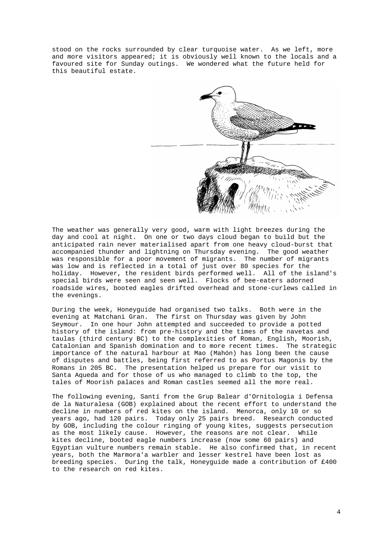stood on the rocks surrounded by clear turquoise water. As we left, more and more visitors appeared; it is obviously well known to the locals and a favoured site for Sunday outings. We wondered what the future held for this beautiful estate.



The weather was generally very good, warm with light breezes during the day and cool at night. On one or two days cloud began to build but the anticipated rain never materialised apart from one heavy cloud-burst that accompanied thunder and lightning on Thursday evening. The good weather was responsible for a poor movement of migrants. The number of migrants was low and is reflected in a total of just over 80 species for the holiday. However, the resident birds performed well. All of the island's special birds were seen and seen well. Flocks of bee-eaters adorned roadside wires, booted eagles drifted overhead and stone-curlews called in the evenings.

During the week, Honeyguide had organised two talks. Both were in the evening at Matchani Gran. The first on Thursday was given by John Seymour. In one hour John attempted and succeeded to provide a potted history of the island: from pre-history and the times of the navetas and taulas (third century BC) to the complexities of Roman, English, Moorish, Catalonian and Spanish domination and to more recent times. The strategic importance of the natural harbour at Mao (Mahón) has long been the cause of disputes and battles, being first referred to as Portus Magonis by the Romans in 205 BC. The presentation helped us prepare for our visit to Santa Aqueda and for those of us who managed to climb to the top, the tales of Moorish palaces and Roman castles seemed all the more real.

The following evening, Santí from the Grup Balear d'Ornitologia i Defensa de la Naturalesa (GOB) explained about the recent effort to understand the decline in numbers of red kites on the island. Menorca, only 10 or so years ago, had 120 pairs. Today only 25 pairs breed. Research conducted by GOB, including the colour ringing of young kites, suggests persecution as the most likely cause. However, the reasons are not clear. While kites decline, booted eagle numbers increase (now some 60 pairs) and Egyptian vulture numbers remain stable. He also confirmed that, in recent years, both the Marmora'a warbler and lesser kestrel have been lost as breeding species. During the talk, Honeyguide made a contribution of £400 to the research on red kites.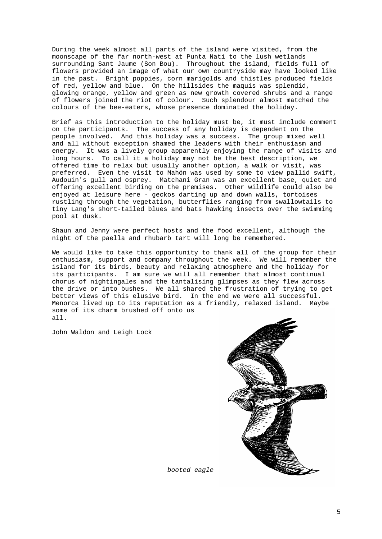During the week almost all parts of the island were visited, from the moonscape of the far north-west at Punta Nati to the lush wetlands surrounding Sant Jaume (Son Bou). Throughout the island, fields full of flowers provided an image of what our own countryside may have looked like in the past. Bright poppies, corn marigolds and thistles produced fields of red, yellow and blue. On the hillsides the maquis was splendid, glowing orange, yellow and green as new growth covered shrubs and a range of flowers joined the riot of colour. Such splendour almost matched the colours of the bee-eaters, whose presence dominated the holiday.

Brief as this introduction to the holiday must be, it must include comment on the participants. The success of any holiday is dependent on the people involved. And this holiday was a success. The group mixed well and all without exception shamed the leaders with their enthusiasm and energy. It was a lively group apparently enjoying the range of visits and long hours. To call it a holiday may not be the best description, we offered time to relax but usually another option, a walk or visit, was preferred. Even the visit to Mahón was used by some to view pallid swift, Audouin's gull and osprey. Matchani Gran was an excellent base, quiet and offering excellent birding on the premises. Other wildlife could also be enjoyed at leisure here - geckos darting up and down walls, tortoises rustling through the vegetation, butterflies ranging from swallowtails to tiny Lang's short-tailed blues and bats hawking insects over the swimming pool at dusk.

Shaun and Jenny were perfect hosts and the food excellent, although the night of the paella and rhubarb tart will long be remembered.

We would like to take this opportunity to thank all of the group for their enthusiasm, support and company throughout the week. We will remember the island for its birds, beauty and relaxing atmosphere and the holiday for its participants. I am sure we will all remember that almost continual chorus of nightingales and the tantalising glimpses as they flew across the drive or into bushes. We all shared the frustration of trying to get better views of this elusive bird. In the end we were all successful. Menorca lived up to its reputation as a friendly, relaxed island. Maybe some of its charm brushed off onto us all.

John Waldon and Leigh Lock



*booted eagle*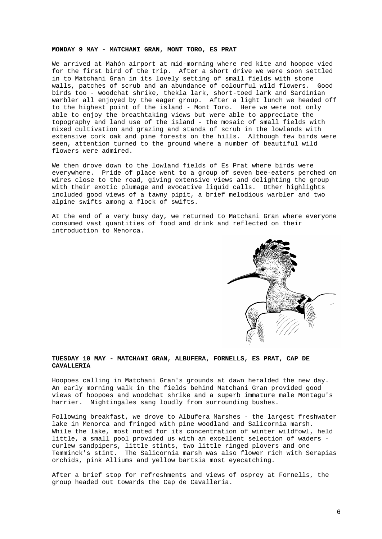#### **MONDAY 9 MAY - MATCHANI GRAN, MONT TORO, ES PRAT**

We arrived at Mahón airport at mid-morning where red kite and hoopoe vied for the first bird of the trip. After a short drive we were soon settled in to Matchani Gran in its lovely setting of small fields with stone walls, patches of scrub and an abundance of colourful wild flowers. Good birds too - woodchat shrike, thekla lark, short-toed lark and Sardinian warbler all enjoyed by the eager group. After a light lunch we headed off to the highest point of the island - Mont Toro. Here we were not only able to enjoy the breathtaking views but were able to appreciate the topography and land use of the island - the mosaic of small fields with mixed cultivation and grazing and stands of scrub in the lowlands with extensive cork oak and pine forests on the hills. Although few birds were seen, attention turned to the ground where a number of beautiful wild flowers were admired.

We then drove down to the lowland fields of Es Prat where birds were everywhere. Pride of place went to a group of seven bee-eaters perched on wires close to the road, giving extensive views and delighting the group with their exotic plumage and evocative liquid calls. Other highlights included good views of a tawny pipit, a brief melodious warbler and two alpine swifts among a flock of swifts.

At the end of a very busy day, we returned to Matchani Gran where everyone consumed vast quantities of food and drink and reflected on their introduction to Menorca.



### **TUESDAY 10 MAY - MATCHANI GRAN, ALBUFERA, FORNELLS, ES PRAT, CAP DE CAVALLERIA**

Hoopoes calling in Matchani Gran's grounds at dawn heralded the new day. An early morning walk in the fields behind Matchani Gran provided good views of hoopoes and woodchat shrike and a superb immature male Montagu's harrier. Nightingales sang loudly from surrounding bushes.

Following breakfast, we drove to Albufera Marshes - the largest freshwater lake in Menorca and fringed with pine woodland and Salicornia marsh. While the lake, most noted for its concentration of winter wildfowl, held little, a small pool provided us with an excellent selection of waders curlew sandpipers, little stints, two little ringed plovers and one Temminck's stint. The Salicornia marsh was also flower rich with Serapias orchids, pink Alliums and yellow bartsia most eyecatching.

After a brief stop for refreshments and views of osprey at Fornells, the group headed out towards the Cap de Cavalleria.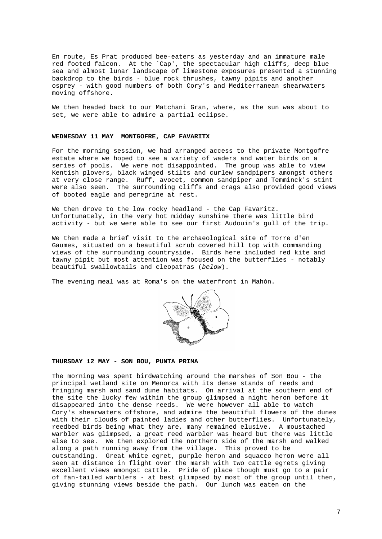En route, Es Prat produced bee-eaters as yesterday and an immature male red footed falcon. At the `Cap', the spectacular high cliffs, deep blue sea and almost lunar landscape of limestone exposures presented a stunning backdrop to the birds - blue rock thrushes, tawny pipits and another osprey - with good numbers of both Cory's and Mediterranean shearwaters moving offshore.

We then headed back to our Matchani Gran, where, as the sun was about to set, we were able to admire a partial eclipse.

## **WEDNESDAY 11 MAY MONTGOFRE, CAP FAVARITX**

For the morning session, we had arranged access to the private Montgofre estate where we hoped to see a variety of waders and water birds on a series of pools. We were not disappointed. The group was able to view Kentish plovers, black winged stilts and curlew sandpipers amongst others at very close range. Ruff, avocet, common sandpiper and Temminck's stint were also seen. The surrounding cliffs and crags also provided good views of booted eagle and peregrine at rest.

We then drove to the low rocky headland - the Cap Favaritz. Unfortunately, in the very hot midday sunshine there was little bird activity - but we were able to see our first Audouin's gull of the trip.

We then made a brief visit to the archaeological site of Torre d'en Gaumes, situated on a beautiful scrub covered hill top with commanding views of the surrounding countryside. Birds here included red kite and tawny pipit but most attention was focused on the butterflies - notably beautiful swallowtails and cleopatras (*below*).

The evening meal was at Roma's on the waterfront in Mahón.



## **THURSDAY 12 MAY - SON BOU, PUNTA PRIMA**

The morning was spent birdwatching around the marshes of Son Bou - the principal wetland site on Menorca with its dense stands of reeds and fringing marsh and sand dune habitats. On arrival at the southern end of the site the lucky few within the group glimpsed a night heron before it disappeared into the dense reeds. We were however all able to watch Cory's shearwaters offshore, and admire the beautiful flowers of the dunes with their clouds of painted ladies and other butterflies. Unfortunately, reedbed birds being what they are, many remained elusive. A moustached warbler was glimpsed, a great reed warbler was heard but there was little else to see. We then explored the northern side of the marsh and walked along a path running away from the village. This proved to be outstanding. Great white egret, purple heron and squacco heron were all seen at distance in flight over the marsh with two cattle egrets giving excellent views amongst cattle. Pride of place though must go to a pair of fan-tailed warblers - at best glimpsed by most of the group until then, giving stunning views beside the path. Our lunch was eaten on the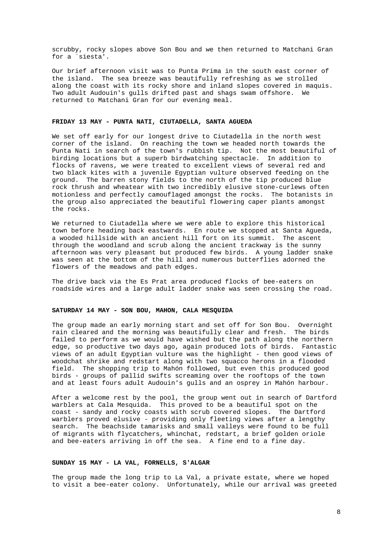scrubby, rocky slopes above Son Bou and we then returned to Matchani Gran for a `siesta'.

Our brief afternoon visit was to Punta Prima in the south east corner of the island. The sea breeze was beautifully refreshing as we strolled along the coast with its rocky shore and inland slopes covered in maquis. Two adult Audouin's gulls drifted past and shags swam offshore. We returned to Matchani Gran for our evening meal.

#### **FRIDAY 13 MAY - PUNTA NATI, CIUTADELLA, SANTA AGUEDA**

We set off early for our longest drive to Ciutadella in the north west corner of the island. On reaching the town we headed north towards the Punta Nati in search of the town's rubbish tip. Not the most beautiful of birding locations but a superb birdwatching spectacle. In addition to flocks of ravens, we were treated to excellent views of several red and two black kites with a juvenile Egyptian vulture observed feeding on the ground. The barren stony fields to the north of the tip produced blue rock thrush and wheatear with two incredibly elusive stone-curlews often motionless and perfectly camouflaged amongst the rocks. The botanists in the group also appreciated the beautiful flowering caper plants amongst the rocks.

We returned to Ciutadella where we were able to explore this historical town before heading back eastwards. En route we stopped at Santa Agueda, a wooded hillside with an ancient hill fort on its summit. The ascent through the woodland and scrub along the ancient trackway is the sunny afternoon was very pleasant but produced few birds. A young ladder snake was seen at the bottom of the hill and numerous butterflies adorned the flowers of the meadows and path edges.

The drive back via the Es Prat area produced flocks of bee-eaters on roadside wires and a large adult ladder snake was seen crossing the road.

#### **SATURDAY 14 MAY - SON BOU, MAHON, CALA MESQUIDA**

The group made an early morning start and set off for Son Bou. Overnight rain cleared and the morning was beautifully clear and fresh. The birds failed to perform as we would have wished but the path along the northern edge, so productive two days ago, again produced lots of birds. Fantastic views of an adult Egyptian vulture was the highlight - then good views of woodchat shrike and redstart along with two squacco herons in a flooded field. The shopping trip to Mahón followed, but even this produced good birds - groups of pallid swifts screaming over the rooftops of the town and at least fours adult Audouin's gulls and an osprey in Mahón harbour.

After a welcome rest by the pool, the group went out in search of Dartford warblers at Cala Mesquida. This proved to be a beautiful spot on the coast - sandy and rocky coasts with scrub covered slopes. The Dartford warblers proved elusive - providing only fleeting views after a lengthy search. The beachside tamarisks and small valleys were found to be full of migrants with flycatchers, whinchat, redstart, a brief golden oriole and bee-eaters arriving in off the sea. A fine end to a fine day.

#### **SUNDAY 15 MAY - LA VAL, FORNELLS, S'ALGAR**

The group made the long trip to La Val, a private estate, where we hoped to visit a bee-eater colony. Unfortunately, while our arrival was greeted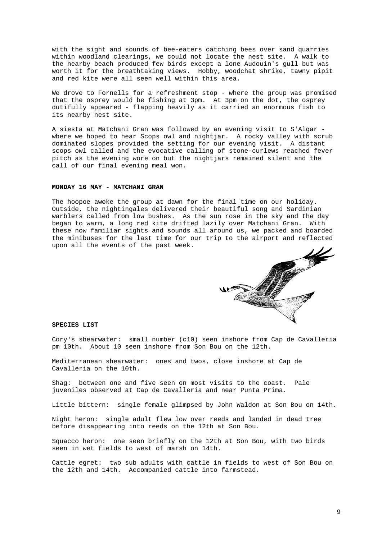with the sight and sounds of bee-eaters catching bees over sand quarries within woodland clearings, we could not locate the nest site. A walk to the nearby beach produced few birds except a lone Audouin's gull but was worth it for the breathtaking views. Hobby, woodchat shrike, tawny pipit and red kite were all seen well within this area.

We drove to Fornells for a refreshment stop - where the group was promised that the osprey would be fishing at 3pm. At 3pm on the dot, the osprey dutifully appeared - flapping heavily as it carried an enormous fish to its nearby nest site.

A siesta at Matchani Gran was followed by an evening visit to S'Algar where we hoped to hear Scops owl and nightjar. A rocky valley with scrub dominated slopes provided the setting for our evening visit. A distant scops owl called and the evocative calling of stone-curlews reached fever pitch as the evening wore on but the nightjars remained silent and the call of our final evening meal won.

## **MONDAY 16 MAY - MATCHANI GRAN**

The hoopoe awoke the group at dawn for the final time on our holiday. Outside, the nightingales delivered their beautiful song and Sardinian warblers called from low bushes. As the sun rose in the sky and the day began to warm, a long red kite drifted lazily over Matchani Gran. With these now familiar sights and sounds all around us, we packed and boarded the minibuses for the last time for our trip to the airport and reflected upon all the events of the past week.



#### **SPECIES LIST**

Cory's shearwater: small number (c10) seen inshore from Cap de Cavalleria pm 10th. About 10 seen inshore from Son Bou on the 12th.

Mediterranean shearwater: ones and twos, close inshore at Cap de Cavalleria on the 10th.

Shag: between one and five seen on most visits to the coast. Pale juveniles observed at Cap de Cavalleria and near Punta Prima.

Little bittern: single female glimpsed by John Waldon at Son Bou on 14th.

Night heron: single adult flew low over reeds and landed in dead tree before disappearing into reeds on the 12th at Son Bou.

Squacco heron: one seen briefly on the 12th at Son Bou, with two birds seen in wet fields to west of marsh on 14th.

Cattle egret: two sub adults with cattle in fields to west of Son Bou on the 12th and 14th. Accompanied cattle into farmstead.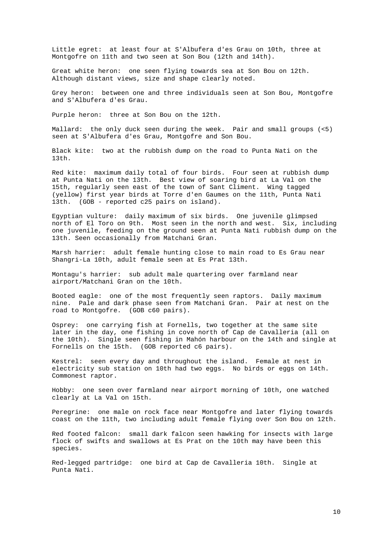Little egret: at least four at S'Albufera d'es Grau on 10th, three at Montgofre on 11th and two seen at Son Bou (12th and 14th).

Great white heron: one seen flying towards sea at Son Bou on 12th. Although distant views, size and shape clearly noted.

Grey heron: between one and three individuals seen at Son Bou, Montgofre and S'Albufera d'es Grau.

Purple heron: three at Son Bou on the 12th.

Mallard: the only duck seen during the week. Pair and small groups (<5) seen at S'Albufera d'es Grau, Montgofre and Son Bou.

Black kite: two at the rubbish dump on the road to Punta Nati on the 13th.

Red kite: maximum daily total of four birds. Four seen at rubbish dump at Punta Nati on the 13th. Best view of soaring bird at La Val on the 15th, regularly seen east of the town of Sant Climent. Wing tagged (yellow) first year birds at Torre d'en Gaumes on the 11th, Punta Nati 13th. (GOB - reported c25 pairs on island).

Egyptian vulture: daily maximum of six birds. One juvenile glimpsed north of El Toro on 9th. Most seen in the north and west. Six, including one juvenile, feeding on the ground seen at Punta Nati rubbish dump on the 13th. Seen occasionally from Matchani Gran.

Marsh harrier: adult female hunting close to main road to Es Grau near Shangri-La 10th, adult female seen at Es Prat 13th.

Montagu's harrier: sub adult male quartering over farmland near airport/Matchani Gran on the 10th.

Booted eagle: one of the most frequently seen raptors. Daily maximum nine. Pale and dark phase seen from Matchani Gran. Pair at nest on the road to Montgofre. (GOB c60 pairs).

Osprey: one carrying fish at Fornells, two together at the same site later in the day, one fishing in cove north of Cap de Cavalleria (all on the 10th). Single seen fishing in Mahón harbour on the 14th and single at Fornells on the 15th. (GOB reported c6 pairs).

Kestrel: seen every day and throughout the island. Female at nest in electricity sub station on 10th had two eggs. No birds or eggs on 14th. Commonest raptor.

Hobby: one seen over farmland near airport morning of 10th, one watched clearly at La Val on 15th.

Peregrine: one male on rock face near Montgofre and later flying towards coast on the 11th, two including adult female flying over Son Bou on 12th.

Red footed falcon: small dark falcon seen hawking for insects with large flock of swifts and swallows at Es Prat on the 10th may have been this species.

Red-legged partridge: one bird at Cap de Cavalleria 10th. Single at Punta Nati.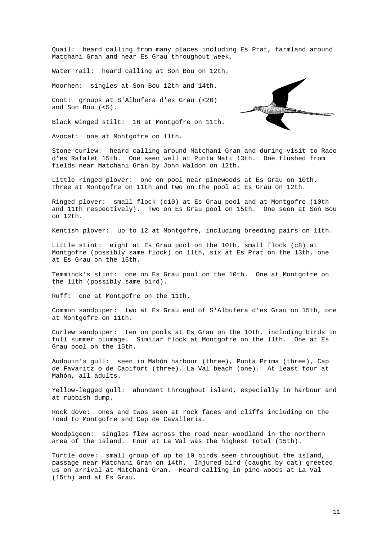Quail: heard calling from many places including Es Prat, farmland around Matchani Gran and near Es Grau throughout week.

Water rail: heard calling at Son Bou on 12th.

Moorhen: singles at Son Bou 12th and 14th.

Coot: groups at S'Albufera d'es Grau (<20) and Son Bou (<5).

Black winged stilt: 16 at Montgofre on 11th.

Avocet: one at Montgofre on 11th.



Stone-curlew: heard calling around Matchani Gran and during visit to Raco d'es Rafalet 15th. One seen well at Punta Nati 13th. One flushed from fields near Matchani Gran by John Waldon on 12th.

Little ringed plover: one on pool near pinewoods at Es Grau on 10th. Three at Montgofre on 11th and two on the pool at Es Grau on 12th.

Ringed plover: small flock (c10) at Es Grau pool and at Montgofre (10th and 11th respectively). Two on Es Grau pool on 15th. One seen at Son Bou on 12th.

Kentish plover: up to 12 at Montgofre, including breeding pairs on 11th.

Little stint: eight at Es Grau pool on the 10th, small flock (c8) at Montgofre (possibly same flock) on 11th, six at Es Prat on the 13th, one at Es Grau on the 15th.

Temminck's stint: one on Es Grau pool on the 10th. One at Montgofre on the 11th (possibly same bird).

Ruff: one at Montgofre on the 11th.

Common sandpiper: two at Es Grau end of S'Albufera d'es Grau on 15th, one at Montgofre on 11th.

Curlew sandpiper: ten on pools at Es Grau on the 10th, including birds in full summer plumage. Similar flock at Montgofre on the 11th. One at Es Grau pool on the 15th.

Audouin's gull: seen in Mahón harbour (three), Punta Prima (three), Cap de Favaritz o de Capifort (three). La Val beach (one). At least four at Mahón, all adults.

Yellow-legged gull: abundant throughout island, especially in harbour and at rubbish dump.

Rock dove: ones and twos seen at rock faces and cliffs including on the road to Montgofre and Cap de Cavalleria.

Woodpigeon: singles flew across the road near woodland in the northern area of the island. Four at La Val was the highest total (15th).

Turtle dove: small group of up to 10 birds seen throughout the island, passage near Matchani Gran on 14th. Injured bird (caught by cat) greeted us on arrival at Matchani Gran. Heard calling in pine woods at La Val (15th) and at Es Grau.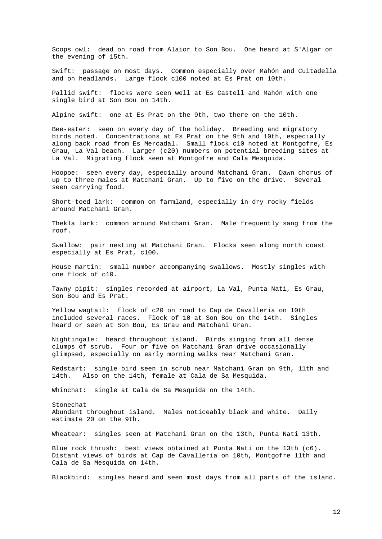Scops owl: dead on road from Alaior to Son Bou. One heard at S'Algar on the evening of 15th.

Swift: passage on most days. Common especially over Mahón and Cuitadella and on headlands. Large flock c100 noted at Es Prat on 10th.

Pallid swift: flocks were seen well at Es Castell and Mahón with one single bird at Son Bou on 14th.

Alpine swift: one at Es Prat on the 9th, two there on the 10th.

Bee-eater: seen on every day of the holiday. Breeding and migratory birds noted. Concentrations at Es Prat on the 9th and 10th, especially along back road from Es Mercadal. Small flock c10 noted at Montgofre, Es Grau, La Val beach. Larger (c20) numbers on potential breeding sites at La Val. Migrating flock seen at Montgofre and Cala Mesquida.

Hoopoe: seen every day, especially around Matchani Gran. Dawn chorus of up to three males at Matchani Gran. Up to five on the drive. Several seen carrying food.

Short-toed lark: common on farmland, especially in dry rocky fields around Matchani Gran.

Thekla lark: common around Matchani Gran. Male frequently sang from the roof.

Swallow: pair nesting at Matchani Gran. Flocks seen along north coast especially at Es Prat, c100.

House martin: small number accompanying swallows. Mostly singles with one flock of c10.

Tawny pipit: singles recorded at airport, La Val, Punta Nati, Es Grau, Son Bou and Es Prat.

Yellow wagtail: flock of c20 on road to Cap de Cavalleria on 10th included several races. Flock of 10 at Son Bou on the 14th. Singles heard or seen at Son Bou, Es Grau and Matchani Gran.

Nightingale: heard throughout island. Birds singing from all dense clumps of scrub. Four or five on Matchani Gran drive occasionally glimpsed, especially on early morning walks near Matchani Gran.

Redstart: single bird seen in scrub near Matchani Gran on 9th, 11th and 14th. Also on the 14th, female at Cala de Sa Mesquida.

Whinchat: single at Cala de Sa Mesquida on the 14th.

Stonechat Abundant throughout island. Males noticeably black and white. Daily estimate 20 on the 9th.

Wheatear: singles seen at Matchani Gran on the 13th, Punta Nati 13th.

Blue rock thrush: best views obtained at Punta Nati on the 13th (c6). Distant views of birds at Cap de Cavalleria on 10th, Montgofre 11th and Cala de Sa Mesquida on 14th.

Blackbird: singles heard and seen most days from all parts of the island.